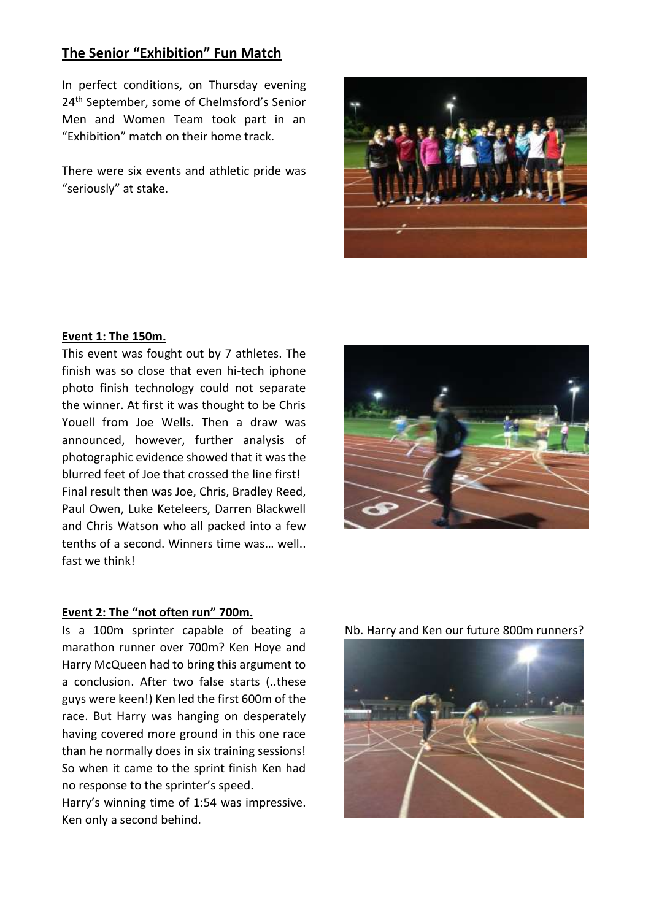# **The Senior "Exhibition" Fun Match**

In perfect conditions, on Thursday evening 24th September, some of Chelmsford's Senior Men and Women Team took part in an "Exhibition" match on their home track.

There were six events and athletic pride was "seriously" at stake.



### **Event 1: The 150m.**

This event was fought out by 7 athletes. The finish was so close that even hi-tech iphone photo finish technology could not separate the winner. At first it was thought to be Chris Youell from Joe Wells. Then a draw was announced, however, further analysis of photographic evidence showed that it was the blurred feet of Joe that crossed the line first! Final result then was Joe, Chris, Bradley Reed, Paul Owen, Luke Keteleers, Darren Blackwell and Chris Watson who all packed into a few tenths of a second. Winners time was… well.. fast we think!



### **Event 2: The "not often run" 700m.**

Is a 100m sprinter capable of beating a marathon runner over 700m? Ken Hoye and Harry McQueen had to bring this argument to a conclusion. After two false starts (..these guys were keen!) Ken led the first 600m of the race. But Harry was hanging on desperately having covered more ground in this one race than he normally does in six training sessions! So when it came to the sprint finish Ken had no response to the sprinter's speed.

Harry's winning time of 1:54 was impressive. Ken only a second behind.



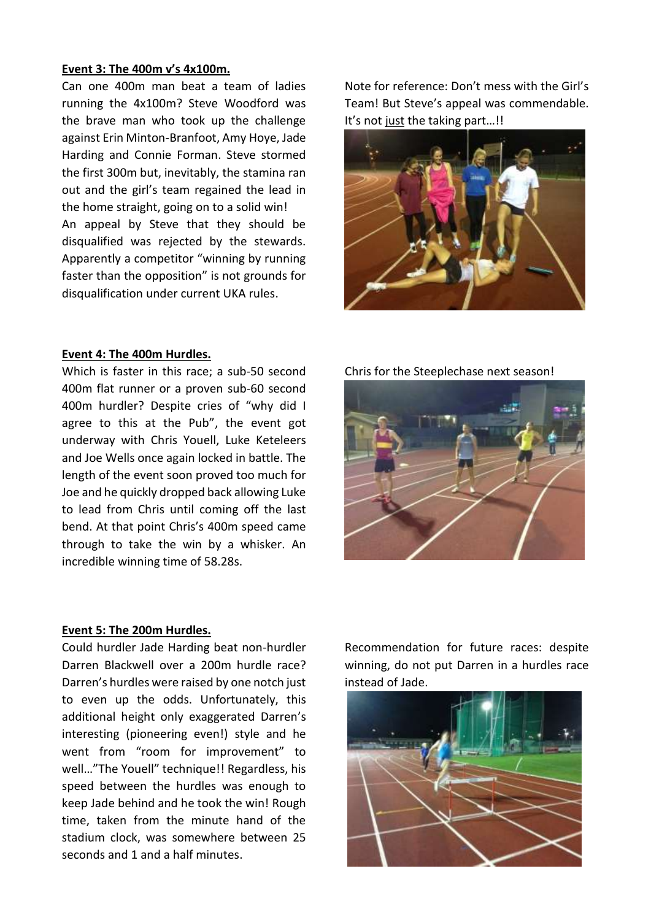#### **Event 3: The 400m v's 4x100m.**

Can one 400m man beat a team of ladies running the 4x100m? Steve Woodford was the brave man who took up the challenge against Erin Minton-Branfoot, Amy Hoye, Jade Harding and Connie Forman. Steve stormed the first 300m but, inevitably, the stamina ran out and the girl's team regained the lead in the home straight, going on to a solid win! An appeal by Steve that they should be disqualified was rejected by the stewards. Apparently a competitor "winning by running faster than the opposition" is not grounds for disqualification under current UKA rules.

## **Event 4: The 400m Hurdles.**

Which is faster in this race; a sub-50 second 400m flat runner or a proven sub-60 second 400m hurdler? Despite cries of "why did I agree to this at the Pub", the event got underway with Chris Youell, Luke Keteleers and Joe Wells once again locked in battle. The length of the event soon proved too much for Joe and he quickly dropped back allowing Luke to lead from Chris until coming off the last bend. At that point Chris's 400m speed came through to take the win by a whisker. An incredible winning time of 58.28s.

## **Event 5: The 200m Hurdles.**

Could hurdler Jade Harding beat non-hurdler Darren Blackwell over a 200m hurdle race? Darren's hurdles were raised by one notch just to even up the odds. Unfortunately, this additional height only exaggerated Darren's interesting (pioneering even!) style and he went from "room for improvement" to well…"The Youell" technique!! Regardless, his speed between the hurdles was enough to keep Jade behind and he took the win! Rough time, taken from the minute hand of the stadium clock, was somewhere between 25 seconds and 1 and a half minutes.

Note for reference: Don't mess with the Girl's Team! But Steve's appeal was commendable. It's not just the taking part…!!



Chris for the Steeplechase next season!



Recommendation for future races: despite winning, do not put Darren in a hurdles race instead of Jade.